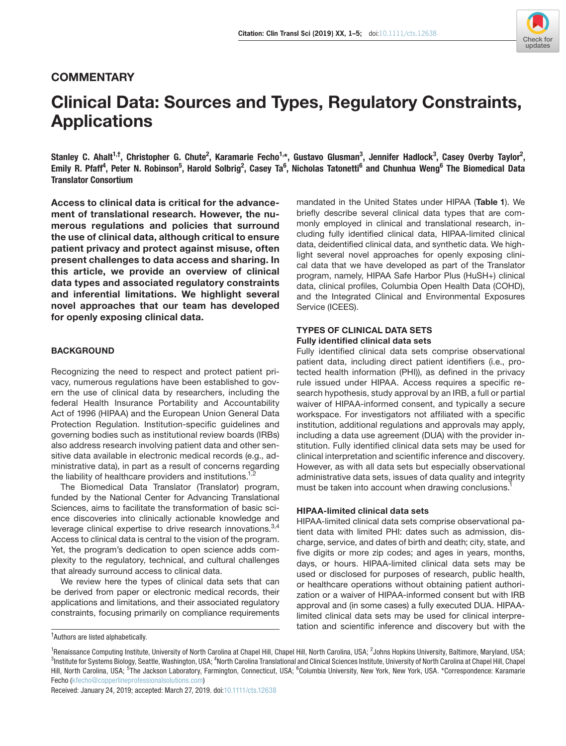## **COMMENTARY**

# Clinical Data: Sources and Types, Regulatory Constraints, Applications

Stanley C. Ahalt<sup>1,†</sup>, Christopher G. Chute<sup>2</sup>, Karamarie Fecho<sup>1,</sup>\*, Gustavo Glusman<sup>3</sup>, Jennifer Hadlock<sup>3</sup>, Casey Overby Taylor<sup>2</sup>, Emily R. Pfaff<sup>4</sup>, Peter N. Robinson<sup>5</sup>, Harold Solbrig<sup>2</sup>, Casey Ta<sup>6</sup>, Nicholas Tatonetti<sup>6</sup> and Chunhua Weng<sup>6</sup> The Biomedical Data Translator Consortium

Access to clinical data is critical for the advancement of translational research. However, the numerous regulations and policies that surround the use of clinical data, although critical to ensure patient privacy and protect against misuse, often present challenges to data access and sharing. In this article, we provide an overview of clinical data types and associated regulatory constraints and inferential limitations. We highlight several novel approaches that our team has developed for openly exposing clinical data.

### **BACKGROUND**

Recognizing the need to respect and protect patient privacy, numerous regulations have been established to govern the use of clinical data by researchers, including the federal Health Insurance Portability and Accountability Act of 1996 (HIPAA) and the European Union General Data Protection Regulation. Institution-specific guidelines and governing bodies such as institutional review boards (IRBs) also address research involving patient data and other sensitive data available in electronic medical records (e.g., administrative data), in part as a result of concerns regarding the liability of healthcare providers and institutions.<sup>1,2</sup>

The Biomedical Data Translator (Translator) program, funded by the National Center for Advancing Translational Sciences, aims to facilitate the transformation of basic science discoveries into clinically actionable knowledge and leverage clinical expertise to drive research innovations.<sup>3,4</sup> Access to clinical data is central to the vision of the program. Yet, the program's dedication to open science adds complexity to the regulatory, technical, and cultural challenges that already surround access to clinical data.

We review here the types of clinical data sets that can be derived from paper or electronic medical records, their applications and limitations, and their associated regulatory constraints, focusing primarily on compliance requirements mandated in the United States under HIPAA (Table 1). We briefly describe several clinical data types that are commonly employed in clinical and translational research, including fully identified clinical data, HIPAA-limited clinical data, deidentified clinical data, and synthetic data. We highlight several novel approaches for openly exposing clinical data that we have developed as part of the Translator program, namely, HIPAA Safe Harbor Plus (HuSH+) clinical data, clinical profiles, Columbia Open Health Data (COHD), and the Integrated Clinical and Environmental Exposures Service (ICEES).

### TYPES OF CLINICAL DATA SETS Fully identified clinical data sets

Fully identified clinical data sets comprise observational patient data, including direct patient identifiers (i.e., protected health information (PHI)), as defined in the privacy rule issued under HIPAA. Access requires a specific research hypothesis, study approval by an IRB, a full or partial waiver of HIPAA-informed consent, and typically a secure workspace. For investigators not affiliated with a specific institution, additional regulations and approvals may apply, including a data use agreement (DUA) with the provider institution. Fully identified clinical data sets may be used for clinical interpretation and scientific inference and discovery. However, as with all data sets but especially observational administrative data sets, issues of data quality and integrity must be taken into account when drawing conclusions.

### HIPAA-limited clinical data sets

HIPAA-limited clinical data sets comprise observational patient data with limited PHI: dates such as admission, discharge, service, and dates of birth and death; city, state, and five digits or more zip codes; and ages in years, months, days, or hours. HIPAA-limited clinical data sets may be used or disclosed for purposes of research, public health, or healthcare operations without obtaining patient authorization or a waiver of HIPAA-informed consent but with IRB approval and (in some cases) a fully executed DUA. HIPAAlimited clinical data sets may be used for clinical interpretation and scientific inference and discovery but with the

<sup>1</sup> Renaissance Computing Institute, University of North Carolina at Chapel Hill, Chapel Hill, North Carolina, USA; <sup>2</sup> Johns Hopkins University, Baltimore, Maryland, USA;<br><sup>3</sup> Institute for Systems Riplony, Soattle, Washin Institute for Systems Biology, Seattle, Washington, USA; <sup>4</sup>North Carolina Translational and Clinical Sciences Institute, University of North Carolina at Chapel Hill, Chapel Hill, North Carolina, USA; <sup>5</sup>The Jackson Laboratory, Farmington, Connecticut, USA; <sup>6</sup>Columbia University, New York, New York, USA. \*Correspondence: Karamarie Fecho ([kfecho@copperlineprofessionalsolutions.com](mailto:kfecho@copperlineprofessionalsolutions.com))



<sup>†</sup> Authors are listed alphabetically.

Received: January 24, 2019; accepted: March 27, 2019. doi[:10.1111/cts.12638](https://doi.org/10.1111/cts.12638)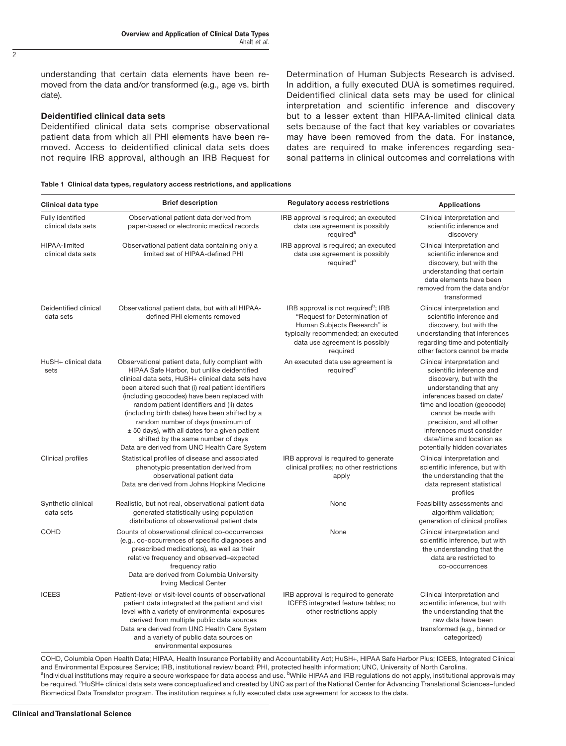$\overline{2}$ 

understanding that certain data elements have been removed from the data and/or transformed (e.g., age vs. birth date).

### Deidentified clinical data sets

Deidentified clinical data sets comprise observational patient data from which all PHI elements have been removed. Access to deidentified clinical data sets does not require IRB approval, although an IRB Request for Determination of Human Subjects Research is advised. In addition, a fully executed DUA is sometimes required. Deidentified clinical data sets may be used for clinical interpretation and scientific inference and discovery but to a lesser extent than HIPAA-limited clinical data sets because of the fact that key variables or covariates may have been removed from the data. For instance, dates are required to make inferences regarding seasonal patterns in clinical outcomes and correlations with

|  |  |  | Table 1 Clinical data types, regulatory access restrictions, and applications |  |
|--|--|--|-------------------------------------------------------------------------------|--|
|--|--|--|-------------------------------------------------------------------------------|--|

| Clinical data type                     | <b>Brief description</b>                                                                                                                                                                                                                                                                                                                                                                                                                                                                                                                   | <b>Regulatory access restrictions</b>                                                                                                                                                               | <b>Applications</b>                                                                                                                                                                                                                                                                                                   |
|----------------------------------------|--------------------------------------------------------------------------------------------------------------------------------------------------------------------------------------------------------------------------------------------------------------------------------------------------------------------------------------------------------------------------------------------------------------------------------------------------------------------------------------------------------------------------------------------|-----------------------------------------------------------------------------------------------------------------------------------------------------------------------------------------------------|-----------------------------------------------------------------------------------------------------------------------------------------------------------------------------------------------------------------------------------------------------------------------------------------------------------------------|
| Fully identified<br>clinical data sets | Observational patient data derived from<br>paper-based or electronic medical records                                                                                                                                                                                                                                                                                                                                                                                                                                                       | IRB approval is required; an executed<br>data use agreement is possibly<br>required <sup>a</sup>                                                                                                    | Clinical interpretation and<br>scientific inference and<br>discovery                                                                                                                                                                                                                                                  |
| HIPAA-limited<br>clinical data sets    | Observational patient data containing only a<br>limited set of HIPAA-defined PHI                                                                                                                                                                                                                                                                                                                                                                                                                                                           | IRB approval is required; an executed<br>data use agreement is possibly<br>required <sup>a</sup>                                                                                                    | Clinical interpretation and<br>scientific inference and<br>discovery, but with the<br>understanding that certain<br>data elements have been<br>removed from the data and/or<br>transformed                                                                                                                            |
| Deidentified clinical<br>data sets     | Observational patient data, but with all HIPAA-<br>defined PHI elements removed                                                                                                                                                                                                                                                                                                                                                                                                                                                            | IRB approval is not required <sup>b</sup> ; IRB<br>"Request for Determination of<br>Human Subjects Research" is<br>typically recommended; an executed<br>data use agreement is possibly<br>required | Clinical interpretation and<br>scientific inference and<br>discovery, but with the<br>understanding that inferences<br>regarding time and potentially<br>other factors cannot be made                                                                                                                                 |
| HuSH+ clinical data<br>sets            | Observational patient data, fully compliant with<br>HIPAA Safe Harbor, but unlike deidentified<br>clinical data sets, HuSH+ clinical data sets have<br>been altered such that (i) real patient identifiers<br>(including geocodes) have been replaced with<br>random patient identifiers and (ii) dates<br>(including birth dates) have been shifted by a<br>random number of days (maximum of<br>$\pm$ 50 days), with all dates for a given patient<br>shifted by the same number of days<br>Data are derived from UNC Health Care System | An executed data use agreement is<br>required <sup>c</sup>                                                                                                                                          | Clinical interpretation and<br>scientific inference and<br>discovery, but with the<br>understanding that any<br>inferences based on date/<br>time and location (geocode)<br>cannot be made with<br>precision, and all other<br>inferences must consider<br>date/time and location as<br>potentially hidden covariates |
| Clinical profiles                      | Statistical profiles of disease and associated<br>phenotypic presentation derived from<br>observational patient data<br>Data are derived from Johns Hopkins Medicine                                                                                                                                                                                                                                                                                                                                                                       | IRB approval is required to generate<br>clinical profiles; no other restrictions<br>apply                                                                                                           | Clinical interpretation and<br>scientific inference, but with<br>the understanding that the<br>data represent statistical<br>profiles                                                                                                                                                                                 |
| Synthetic clinical<br>data sets        | Realistic, but not real, observational patient data<br>generated statistically using population<br>distributions of observational patient data                                                                                                                                                                                                                                                                                                                                                                                             | None                                                                                                                                                                                                | Feasibility assessments and<br>algorithm validation;<br>generation of clinical profiles                                                                                                                                                                                                                               |
| <b>COHD</b>                            | Counts of observational clinical co-occurrences<br>(e.g., co-occurrences of specific diagnoses and<br>prescribed medications), as well as their<br>relative frequency and observed-expected<br>frequency ratio<br>Data are derived from Columbia University<br><b>Irving Medical Center</b>                                                                                                                                                                                                                                                | None                                                                                                                                                                                                | Clinical interpretation and<br>scientific inference, but with<br>the understanding that the<br>data are restricted to<br>co-occurrences                                                                                                                                                                               |
| <b>ICEES</b>                           | Patient-level or visit-level counts of observational<br>patient data integrated at the patient and visit<br>level with a variety of environmental exposures<br>derived from multiple public data sources<br>Data are derived from UNC Health Care System<br>and a variety of public data sources on<br>environmental exposures                                                                                                                                                                                                             | IRB approval is required to generate<br>ICEES integrated feature tables; no<br>other restrictions apply                                                                                             | Clinical interpretation and<br>scientific inference, but with<br>the understanding that the<br>raw data have been<br>transformed (e.g., binned or<br>categorized)                                                                                                                                                     |

COHD, Columbia Open Health Data; HIPAA, Health Insurance Portability and Accountability Act; HuSH+, HIPAA Safe Harbor Plus; ICEES, Integrated Clinical and Environmental Exposures Service; IRB, institutional review board; PHI, protected health information; UNC, University of North Carolina. <sup>a</sup>lndividual institutions may require a secure workspace for data access and use. <sup>b</sup>While HIPAA and IRB regulations do not apply, institutional approvals may be required. <sup>c</sup>HuSH+ clinical data sets were conceptualized and created by UNC as part of the National Center for Advancing Translational Sciences–funded Biomedical Data Translator program. The institution requires a fully executed data use agreement for access to the data.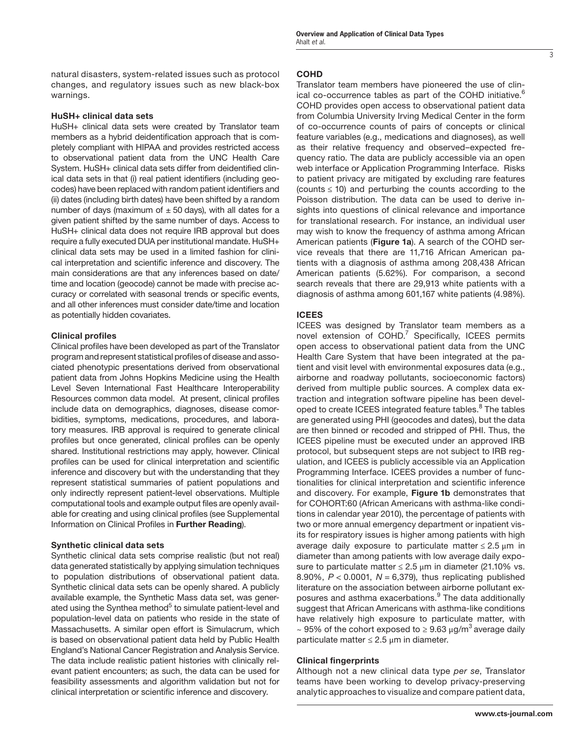natural disasters, system-related issues such as protocol changes, and regulatory issues such as new black-box warnings.

### HuSH+ clinical data sets

HuSH+ clinical data sets were created by Translator team members as a hybrid deidentification approach that is completely compliant with HIPAA and provides restricted access to observational patient data from the UNC Health Care System. HuSH+ clinical data sets differ from deidentified clinical data sets in that (i) real patient identifiers (including geocodes) have been replaced with random patient identifiers and (ii) dates (including birth dates) have been shifted by a random number of days (maximum of  $\pm$  50 days), with all dates for a given patient shifted by the same number of days. Access to HuSH+ clinical data does not require IRB approval but does require a fully executed DUA per institutional mandate. HuSH+ clinical data sets may be used in a limited fashion for clinical interpretation and scientific inference and discovery. The main considerations are that any inferences based on date/ time and location (geocode) cannot be made with precise accuracy or correlated with seasonal trends or specific events, and all other inferences must consider date/time and location as potentially hidden covariates.

### Clinical profiles

Clinical profiles have been developed as part of the Translator program and represent statistical profiles of disease and associated phenotypic presentations derived from observational patient data from Johns Hopkins Medicine using the Health Level Seven International Fast Healthcare Interoperability Resources common data model. At present, clinical profiles include data on demographics, diagnoses, disease comorbidities, symptoms, medications, procedures, and laboratory measures. IRB approval is required to generate clinical profiles but once generated, clinical profiles can be openly shared. Institutional restrictions may apply, however. Clinical profiles can be used for clinical interpretation and scientific inference and discovery but with the understanding that they represent statistical summaries of patient populations and only indirectly represent patient-level observations. Multiple computational tools and example output files are openly available for creating and using clinical profiles (see Supplemental Information on Clinical Profiles in Further Reading).

### Synthetic clinical data sets

Synthetic clinical data sets comprise realistic (but not real) data generated statistically by applying simulation techniques to population distributions of observational patient data. Synthetic clinical data sets can be openly shared. A publicly available example, the Synthetic Mass data set, was generated using the Synthea method<sup>5</sup> to simulate patient-level and population-level data on patients who reside in the state of Massachusetts. A similar open effort is Simulacrum, which is based on observational patient data held by Public Health England's National Cancer Registration and Analysis Service. The data include realistic patient histories with clinically relevant patient encounters; as such, the data can be used for feasibility assessments and algorithm validation but not for clinical interpretation or scientific inference and discovery.

3

### COHD

Translator team members have pioneered the use of clinical co-occurrence tables as part of the COHD initiative.<sup>6</sup> COHD provides open access to observational patient data from Columbia University Irving Medical Center in the form of co-occurrence counts of pairs of concepts or clinical feature variables (e.g., medications and diagnoses), as well as their relative frequency and observed–expected frequency ratio. The data are publicly accessible via an open web interface or Application Programming Interface. Risks to patient privacy are mitigated by excluding rare features (counts  $\leq$  10) and perturbing the counts according to the Poisson distribution. The data can be used to derive insights into questions of clinical relevance and importance for translational research. For instance, an individual user may wish to know the frequency of asthma among African American patients (Figure 1a). A search of the COHD service reveals that there are 11,716 African American patients with a diagnosis of asthma among 208,438 African American patients (5.62%). For comparison, a second search reveals that there are 29,913 white patients with a diagnosis of asthma among 601,167 white patients (4.98%).

### ICEES

ICEES was designed by Translator team members as a novel extension of COHD.<sup>7</sup> Specifically, ICEES permits open access to observational patient data from the UNC Health Care System that have been integrated at the patient and visit level with environmental exposures data (e.g., airborne and roadway pollutants, socioeconomic factors) derived from multiple public sources. A complex data extraction and integration software pipeline has been developed to create ICEES integrated feature tables.<sup>8</sup> The tables are generated using PHI (geocodes and dates), but the data are then binned or recoded and stripped of PHI. Thus, the ICEES pipeline must be executed under an approved IRB protocol, but subsequent steps are not subject to IRB regulation, and ICEES is publicly accessible via an Application Programming Interface. ICEES provides a number of functionalities for clinical interpretation and scientific inference and discovery. For example, Figure 1b demonstrates that for COHORT:60 (African Americans with asthma-like conditions in calendar year 2010), the percentage of patients with two or more annual emergency department or inpatient visits for respiratory issues is higher among patients with high average daily exposure to particulate matter  $\leq 2.5 \mu m$  in diameter than among patients with low average daily exposure to particulate matter  $\leq 2.5$  µm in diameter (21.10% vs. 8.90%, *P* < 0.0001, *N* = 6,379), thus replicating published literature on the association between airborne pollutant exposures and asthma exacerbations. <sup>9</sup> The data additionally suggest that African Americans with asthma-like conditions have relatively high exposure to particulate matter, with  $\sim$  95% of the cohort exposed to  $\geq$  9.63  $\mu$ g/m<sup>3</sup> average daily particulate matter  $\leq 2.5$  µm in diameter.

### Clinical fingerprints

Although not a new clinical data type *per se*, Translator teams have been working to develop privacy-preserving analytic approaches to visualize and compare patient data,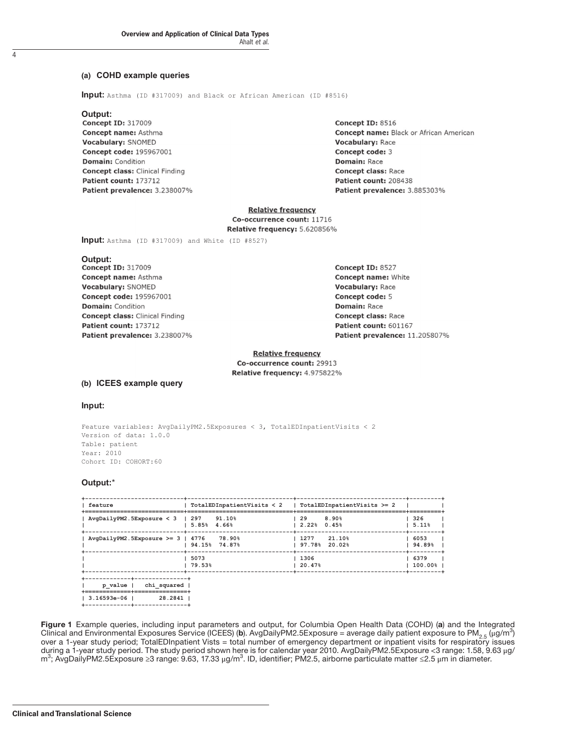### **(a) COHD example queries**

**Input:** Asthma (ID #317009) and Black or African American (ID #8516)

 $\overline{A}$ 

**Output:**<br>**Concept ID:** 317009 Concept name: Asthma Vocabulary: SNOMED Concept code: 195967001 **Domain:** Condition **Concept class: Clinical Finding** Patient count: 173712 Patient prevalence: 3.238007%

Concept ID: 8516 Concept name: Black or African American **Vocabulary: Race** Concept code: 3 **Domain: Race Concept class: Race** Patient count: 208438 Patient prevalence: 3.885303%

### **Relative frequency** Co-occurrence count: 11716 Relative frequency: 5.620856%

**Input:** Asthma (ID #317009) and White (ID #8527)

**Output: Concept ID:** 317009 Concept name: Asthma Vocabulary: SNOMED **Concept code: 195967001 Domain:** Condition **Concept class: Clinical Finding** Patient count: 173712 Patient prevalence: 3.238007%

```
Concept ID: 8527
Concept name: White
Vocabulary: Race
Concept code: 5
Domain: Race
Concept class: Race
Patient count: 601167
Patient prevalence: 11.205807%
```
**Relative frequency** Co-occurrence count: 29913 Relative frequency: 4.975822%

### **(b) ICEES example query**

**Input:**

Feature variables: AvgDailyPM2.5Exposures < 3, TotalEDInpatientVisits < 2 Version of data: 1.0.0 Table: patient Year: 2010 Cohort ID: COHORT:60

### **Output:**\*

| feature                                                                                    |                         | TotalEDInpatientVisits < 2   TotalEDInpatientVisits >= 2 | -+--------      |
|--------------------------------------------------------------------------------------------|-------------------------|----------------------------------------------------------|-----------------|
| AvqDailyPM2.5Exposure $< 3$   297 91.10%                                                   | $5.85%$ 4.66%           | 29<br>8.90%<br>$2.22\%$ 0.45%                            | 326<br>5.11%    |
| $AvgDailyPM2.5Exposure \geq 3 \mid 4776$                                                   | 78.90%<br>94.15% 74.87% | 21.10%<br>1277<br>97.78% 20.02%                          | 6053<br>94.89%  |
|                                                                                            | 5073<br>79.53%          | 1306<br>20.47%                                           | 6379<br>100.00% |
| --------+------------<br>chi squared<br>p value                                            |                         |                                                          |                 |
| =============+==============<br>l 3.16593e-06 l<br>28.2841<br>---------------------------- |                         |                                                          |                 |

Figure 1 Example queries, including input parameters and output, for Columbia Open Health Data (COHD) (a) and the Integrated Clinical and Environmental Exposures Service (ICEES) (b). AvgDailyPM2.5Exposure = average daily patient exposure to PM<sub>2.5</sub> (µg/m<sup>3</sup>) over a 1-year study period; TotalEDInpatient Vists = total number of emergency department or inpatient visits for respiratory issues during a 1-year study period. The study period shown here is for calendar year 2010. AvgDailyPM2.5Exposure <3 range: 1.58, 9.63 μg/ m<sup>3</sup>; AvgDailyPM2.5Éxposure ≥3 range: 9.63, 17.33 μg/m<sup>3</sup>. ID, identifier; PM2.5, airborne particulate matter ≤2.5 μm in diameter.